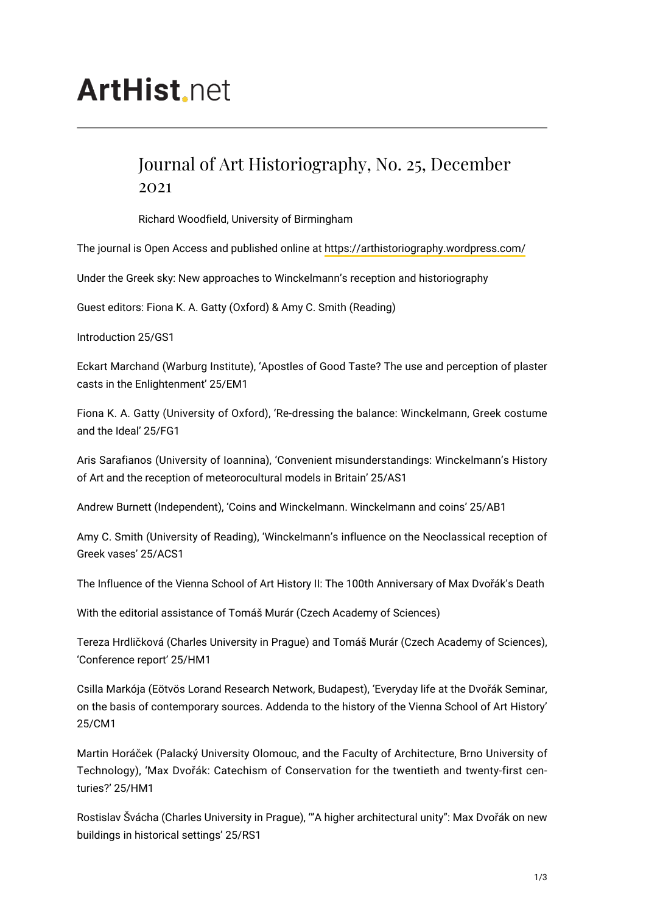# **ArtHist** net

# Journal of Art Historiography, No. 25, December 2021

Richard Woodfield, University of Birmingham

The journal is Open Access and published online at<https://arthistoriography.wordpress.com/>

Under the Greek sky: New approaches to Winckelmann's reception and historiography

Guest editors: Fiona K. A. Gatty (Oxford) & Amy C. Smith (Reading)

Introduction 25/GS1

Eckart Marchand (Warburg Institute), 'Apostles of Good Taste? The use and perception of plaster casts in the Enlightenment' 25/EM1

Fiona K. A. Gatty (University of Oxford), 'Re-dressing the balance: Winckelmann, Greek costume and the Ideal' 25/FG1

Aris Sarafianos (University of Ioannina), 'Convenient misunderstandings: Winckelmann's History of Art and the reception of meteorocultural models in Britain' 25/AS1

Andrew Burnett (Independent), 'Coins and Winckelmann. Winckelmann and coins' 25/AB1

Amy C. Smith (University of Reading), 'Winckelmann's influence on the Neoclassical reception of Greek vases' 25/ACS1

The Influence of the Vienna School of Art History II: The 100th Anniversary of Max Dvořák's Death

With the editorial assistance of Tomáš Murár (Czech Academy of Sciences)

Tereza Hrdličková (Charles University in Prague) and Tomáš Murár (Czech Academy of Sciences), 'Conference report' 25/HM1

Csilla Markója (Eötvös Lorand Research Network, Budapest), 'Everyday life at the Dvořák Seminar, on the basis of contemporary sources. Addenda to the history of the Vienna School of Art History' 25/CM1

Martin Horáček (Palacký University Olomouc, and the Faculty of Architecture, Brno University of Technology), 'Max Dvořák: Catechism of Conservation for the twentieth and twenty-first centuries?' 25/HM1

Rostislav Švácha (Charles University in Prague), '"A higher architectural unity": Max Dvořák on new buildings in historical settings' 25/RS1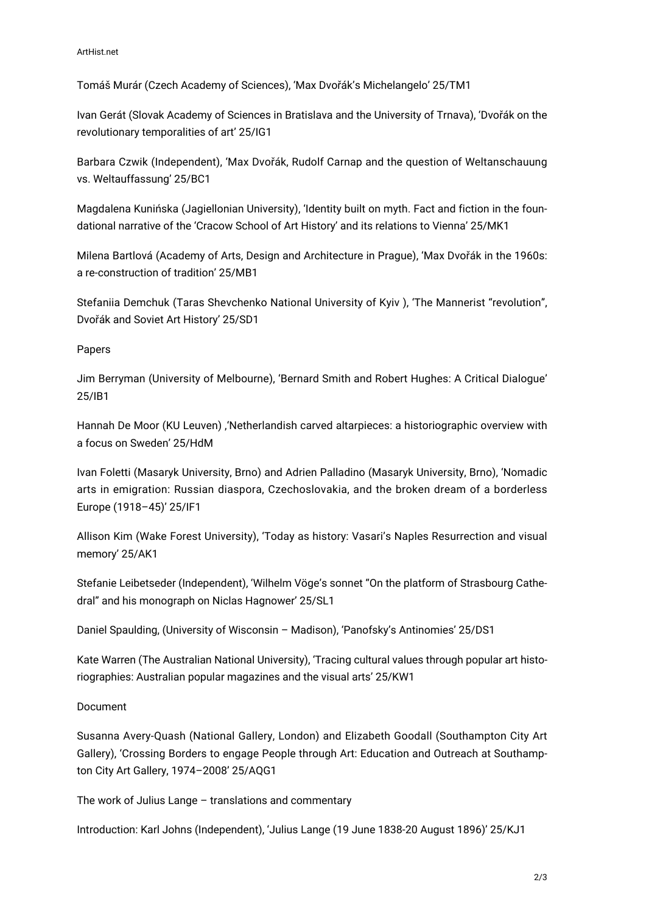ArtHist.net

Tomáš Murár (Czech Academy of Sciences), 'Max Dvořák's Michelangelo' 25/TM1

Ivan Gerát (Slovak Academy of Sciences in Bratislava and the University of Trnava), 'Dvořák on the revolutionary temporalities of art' 25/IG1

Barbara Czwik (Independent), 'Max Dvořák, Rudolf Carnap and the question of Weltanschauung vs. Weltauffassung' 25/BC1

Magdalena Kunińska (Jagiellonian University), 'Identity built on myth. Fact and fiction in the foundational narrative of the 'Cracow School of Art History' and its relations to Vienna' 25/MK1

Milena Bartlová (Academy of Arts, Design and Architecture in Prague), 'Max Dvořák in the 1960s: a re-construction of tradition' 25/MB1

Stefaniia Demchuk (Taras Shevchenko National University of Kyiv ), 'The Mannerist "revolution", Dvořák and Soviet Art History' 25/SD1

### Papers

Jim Berryman (University of Melbourne), 'Bernard Smith and Robert Hughes: A Critical Dialogue' 25/IB1

Hannah De Moor (KU Leuven) ,'Netherlandish carved altarpieces: a historiographic overview with a focus on Sweden' 25/HdM

Ivan Foletti (Masaryk University, Brno) and Adrien Palladino (Masaryk University, Brno), 'Nomadic arts in emigration: Russian diaspora, Czechoslovakia, and the broken dream of a borderless Europe (1918–45)' 25/IF1

Allison Kim (Wake Forest University), 'Today as history: Vasari's Naples Resurrection and visual memory' 25/AK1

Stefanie Leibetseder (Independent), 'Wilhelm Vöge's sonnet "On the platform of Strasbourg Cathedral" and his monograph on Niclas Hagnower' 25/SL1

Daniel Spaulding, (University of Wisconsin – Madison), 'Panofsky's Antinomies' 25/DS1

Kate Warren (The Australian National University), 'Tracing cultural values through popular art historiographies: Australian popular magazines and the visual arts' 25/KW1

## Document

Susanna Avery-Quash (National Gallery, London) and Elizabeth Goodall (Southampton City Art Gallery), 'Crossing Borders to engage People through Art: Education and Outreach at Southampton City Art Gallery, 1974–2008' 25/AQG1

The work of Julius Lange – translations and commentary

Introduction: Karl Johns (Independent), 'Julius Lange (19 June 1838-20 August 1896)' 25/KJ1